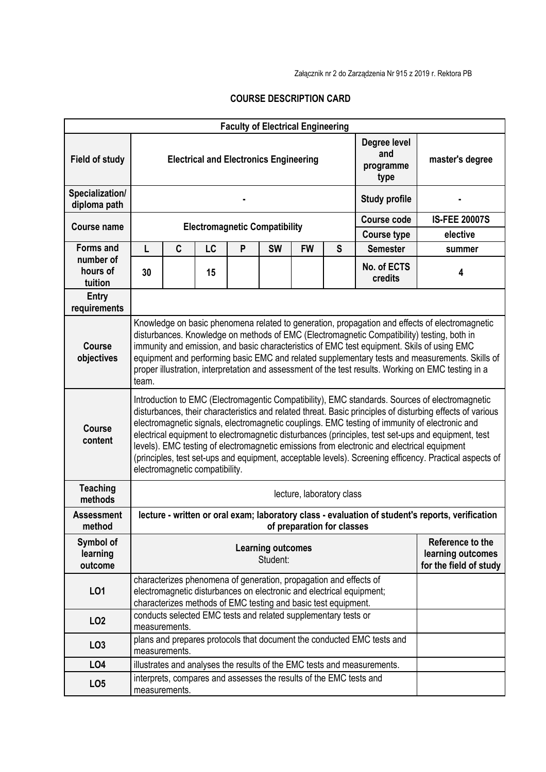Załącznik nr 2 do Zarządzenia Nr 915 z 2019 r. Rektora PB

## **COURSE DESCRIPTION CARD**

| <b>Faculty of Electrical Engineering</b> |                                                                                                                                                                                                                                                                                                                                                                                                                                                                                                                                                                                                                                                              |                                                                                                                                                                                                             |           |                                                                    |                      |                      |   |                                                                        |                 |  |  |
|------------------------------------------|--------------------------------------------------------------------------------------------------------------------------------------------------------------------------------------------------------------------------------------------------------------------------------------------------------------------------------------------------------------------------------------------------------------------------------------------------------------------------------------------------------------------------------------------------------------------------------------------------------------------------------------------------------------|-------------------------------------------------------------------------------------------------------------------------------------------------------------------------------------------------------------|-----------|--------------------------------------------------------------------|----------------------|----------------------|---|------------------------------------------------------------------------|-----------------|--|--|
| <b>Field of study</b>                    | Degree level<br>and<br><b>Electrical and Electronics Engineering</b><br>programme<br>type                                                                                                                                                                                                                                                                                                                                                                                                                                                                                                                                                                    |                                                                                                                                                                                                             |           |                                                                    |                      |                      |   |                                                                        | master's degree |  |  |
| Specialization/<br>diploma path          |                                                                                                                                                                                                                                                                                                                                                                                                                                                                                                                                                                                                                                                              |                                                                                                                                                                                                             |           |                                                                    | <b>Study profile</b> |                      |   |                                                                        |                 |  |  |
| <b>Course name</b>                       |                                                                                                                                                                                                                                                                                                                                                                                                                                                                                                                                                                                                                                                              |                                                                                                                                                                                                             |           |                                                                    | <b>Course code</b>   | <b>IS-FEE 20007S</b> |   |                                                                        |                 |  |  |
|                                          | <b>Electromagnetic Compatibility</b>                                                                                                                                                                                                                                                                                                                                                                                                                                                                                                                                                                                                                         |                                                                                                                                                                                                             |           |                                                                    |                      |                      |   | <b>Course type</b>                                                     | elective        |  |  |
| <b>Forms and</b><br>number of            | L                                                                                                                                                                                                                                                                                                                                                                                                                                                                                                                                                                                                                                                            | $\mathbf c$                                                                                                                                                                                                 | <b>LC</b> | P                                                                  | <b>SW</b>            | <b>FW</b>            | S | <b>Semester</b>                                                        | summer          |  |  |
| hours of<br>tuition                      | 30                                                                                                                                                                                                                                                                                                                                                                                                                                                                                                                                                                                                                                                           |                                                                                                                                                                                                             | 15        |                                                                    |                      |                      |   | No. of ECTS<br>credits                                                 | 4               |  |  |
| Entry<br>requirements                    |                                                                                                                                                                                                                                                                                                                                                                                                                                                                                                                                                                                                                                                              |                                                                                                                                                                                                             |           |                                                                    |                      |                      |   |                                                                        |                 |  |  |
| <b>Course</b><br>objectives              | Knowledge on basic phenomena related to generation, propagation and effects of electromagnetic<br>disturbances. Knowledge on methods of EMC (Electromagnetic Compatibility) testing, both in<br>immunity and emission, and basic characteristics of EMC test equipment. Skils of using EMC<br>equipment and performing basic EMC and related supplementary tests and measurements. Skills of<br>proper illustration, interpretation and assessment of the test results. Working on EMC testing in a<br>team.                                                                                                                                                 |                                                                                                                                                                                                             |           |                                                                    |                      |                      |   |                                                                        |                 |  |  |
| <b>Course</b><br>content                 | Introduction to EMC (Electromagentic Compatibility), EMC standards. Sources of electromagnetic<br>disturbances, their characteristics and related threat. Basic principles of disturbing effects of various<br>electromagnetic signals, electromagnetic couplings. EMC testing of immunity of electronic and<br>electrical equipment to electromagnetic disturbances (principles, test set-ups and equipment, test<br>levels). EMC testing of electromagnetic emissions from electronic and electrical equipment<br>(principles, test set-ups and equipment, acceptable levels). Screening efficency. Practical aspects of<br>electromagnetic compatibility. |                                                                                                                                                                                                             |           |                                                                    |                      |                      |   |                                                                        |                 |  |  |
| <b>Teaching</b><br>methods               | lecture, laboratory class                                                                                                                                                                                                                                                                                                                                                                                                                                                                                                                                                                                                                                    |                                                                                                                                                                                                             |           |                                                                    |                      |                      |   |                                                                        |                 |  |  |
| <b>Assessment</b><br>method              | lecture - written or oral exam; laboratory class - evaluation of student's reports, verification<br>of preparation for classes                                                                                                                                                                                                                                                                                                                                                                                                                                                                                                                               |                                                                                                                                                                                                             |           |                                                                    |                      |                      |   |                                                                        |                 |  |  |
| Symbol of<br>learning<br>outcome         | <b>Learning outcomes</b><br>Student:                                                                                                                                                                                                                                                                                                                                                                                                                                                                                                                                                                                                                         |                                                                                                                                                                                                             |           |                                                                    |                      |                      |   | Reference to the<br>learning outcomes<br>for the field of study        |                 |  |  |
| LO1                                      |                                                                                                                                                                                                                                                                                                                                                                                                                                                                                                                                                                                                                                                              | characterizes phenomena of generation, propagation and effects of<br>electromagnetic disturbances on electronic and electrical equipment;<br>characterizes methods of EMC testing and basic test equipment. |           |                                                                    |                      |                      |   |                                                                        |                 |  |  |
| LO <sub>2</sub>                          | measurements.                                                                                                                                                                                                                                                                                                                                                                                                                                                                                                                                                                                                                                                |                                                                                                                                                                                                             |           | conducts selected EMC tests and related supplementary tests or     |                      |                      |   |                                                                        |                 |  |  |
| LO <sub>3</sub>                          | measurements.                                                                                                                                                                                                                                                                                                                                                                                                                                                                                                                                                                                                                                                |                                                                                                                                                                                                             |           |                                                                    |                      |                      |   | plans and prepares protocols that document the conducted EMC tests and |                 |  |  |
| LO <sub>4</sub>                          |                                                                                                                                                                                                                                                                                                                                                                                                                                                                                                                                                                                                                                                              | illustrates and analyses the results of the EMC tests and measurements.                                                                                                                                     |           |                                                                    |                      |                      |   |                                                                        |                 |  |  |
| LO <sub>5</sub>                          | measurements.                                                                                                                                                                                                                                                                                                                                                                                                                                                                                                                                                                                                                                                |                                                                                                                                                                                                             |           | interprets, compares and assesses the results of the EMC tests and |                      |                      |   |                                                                        |                 |  |  |